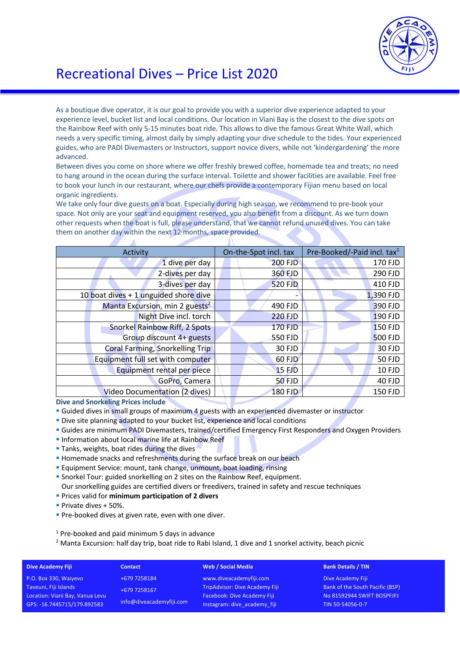

## Recreational Dives – Price List 2020

As a boutique dive operator, it is our goal to provide you with a superior dive experience adapted to your experience level, bucket list and local conditions. Our location in Viani Bay is the closest to the dive spots on the Rainbow Reef with only 5-15 minutes boat ride. This allows to dive the famous Great White Wall, which needs a very specific timing, almost daily by simply adapting your dive schedule to the tides. Your experienced guides, who are PADI Divemasters or Instructors, support novice divers, while not 'kindergardening' the more advanced.

Between dives you come on shore where we offer freshly brewed coffee, homemade tea and treats; no need to hang around in the ocean during the surface interval. Toilette and shower facilities are available. Feel free to book your lunch in our restaurant, where our chefs provide a contemporary Fijian menu based on local organic ingredients.

We take only four dive guests on a boat. Especially during high season, we recommend to pre-book your space. Not only are your seat and equipment reserved, you also benefit from a discount. As we turn down other requests when the boat is full, please understand, that we cannot refund unused dives. You can take them on another day within the next 12 months, space provided.

| Activity                                   | On-the-Spot incl. tax | Pre-Booked/-Paid incl. tax <sup>1</sup> |
|--------------------------------------------|-----------------------|-----------------------------------------|
| 1 dive per day                             | <b>200 FJD</b>        | 170 FJD                                 |
| 2-dives per day                            | 360 FJD               | 290 FJD                                 |
| 3-dives per day                            | <b>520 FJD</b>        | 410 FJD                                 |
| 10 boat dives + 1 unguided shore dive      |                       | 1,390 FJD                               |
| Manta Excursion, min 2 guests <sup>2</sup> | 490 FJD               | 390 FJD                                 |
| Night Dive incl. torch                     | <b>220 FJD</b>        | 190 FJD                                 |
| Snorkel Rainbow Riff, 2 Spots              | <b>170 FJD</b>        | <b>150 FJD</b>                          |
| Group discount 4+ guests                   | 550 FJD               | <b>500 FJD</b>                          |
| Coral Farming, Snorkelling Trip            | 30 FJD                | 30 FJD                                  |
| Equipment full set with computer           | <b>60 FJD</b>         | <b>50 FJD</b>                           |
| Equipment rental per piece                 | <b>15 FJD</b>         | 10 FJD                                  |
| GoPro, Camera                              | <b>50 FJD</b>         | 40 FJD                                  |
| Video Documentation (2 dives)              | <b>180 FJD</b>        | <b>150 FJD</b>                          |

**Dive and Snorkeling Prices include**

- § Guided dives in small groups of maximum 4 guests with an experienced divemaster or instructor
- **Dive site planning adapted to your bucket list, experience and local conditions**
- § Guides are minimum PADI Divemasters, trained/certified Emergency First Responders and Oxygen Providers
- **Information about local marine life at Rainbow Reef**
- **Tanks, weights, boat rides during the dives**

A

- Homemade snacks and refreshments during the surface break on our beach
- § Equipment Service: mount, tank change, unmount, boat loading, rinsing
- § Snorkel Tour: guided snorkelling on 2 sites on the Rainbow Reef, equipment.
- Our snorkelling guides are certified divers or freedivers, trained in safety and rescue techniques
- § Prices valid for **minimum participation of 2 divers**
- § Private dives + 50%.
- **Pre-booked dives at given rate, even with one diver.**

 $1$  Pre-booked and paid minimum 5 days in advance

<sup>2</sup> Manta Excursion: half day trip, boat ride to Rabi Island, 1 dive and 1 snorkel activity, beach picnic

| <b>Dive Academy Fiji</b>        | <b>Contact</b>                           | Web / Social Media                 | <b>Bank Details / TIN</b>       |
|---------------------------------|------------------------------------------|------------------------------------|---------------------------------|
| P.O. Box 330, Waiyevo           | +679 7258184                             | www.diveacademyfiji.com            | Dive Academy Fiji               |
| Taveuni, Fiji Islands           | +679 7258167<br>info@diveacademyfiji.com | TripAdvisor: Dive Academy Fiji     | Bank of the South Pacific (BSP) |
| Location: Viani Bay, Vanua Levu |                                          | <b>Facebook: Dive Academy Fiji</b> | No 81592944 SWIFT BOSPFJFJ      |
| GPS: -16.7445715/179.892583     |                                          | Instagram: dive academy fiji       | TIN 50-54056-0-7                |